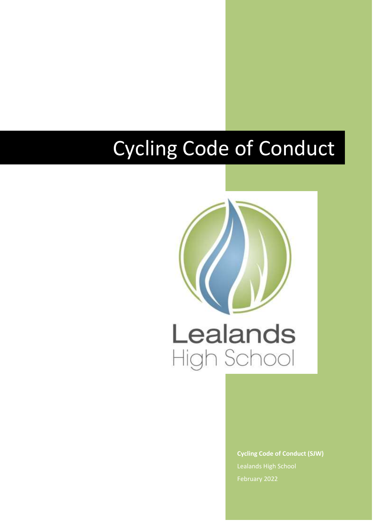## Cycling Code of Conduct



**Cycling Code of Conduct (SJW)** Lealands High School